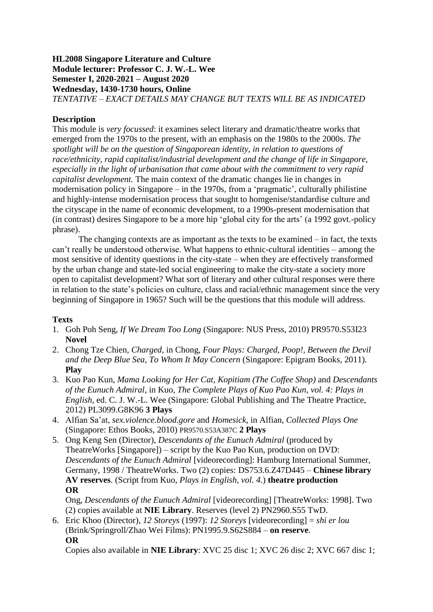## **HL2008 Singapore Literature and Culture Module lecturer: Professor C. J. W.-L. Wee Semester I, 2020-2021 – August 2020 Wednesday, 1430-1730 hours, Online** *TENTATIVE – EXACT DETAILS MAY CHANGE BUT TEXTS WILL BE AS INDICATED*

## **Description**

This module is *very focussed*: it examines select literary and dramatic/theatre works that emerged from the 1970s to the present, with an emphasis on the 1980s to the 2000s. *The spotlight will be on the question of Singaporean identity, in relation to questions of race/ethnicity, rapid capitalist/industrial development and the change of life in Singapore, especially in the light of urbanisation that came about with the commitment to very rapid capitalist development.* The main context of the dramatic changes lie in changes in modernisation policy in Singapore – in the 1970s, from a 'pragmatic', culturally philistine and highly-intense modernisation process that sought to homgenise/standardise culture and the cityscape in the name of economic development, to a 1990s-present modernisation that (in contrast) desires Singapore to be a more hip 'global city for the arts' (a 1992 govt.-policy phrase).

The changing contexts are as important as the texts to be examined – in fact, the texts can't really be understood otherwise. What happens to ethnic-cultural identities – among the most sensitive of identity questions in the city-state – when they are effectively transformed by the urban change and state-led social engineering to make the city-state a society more open to capitalist development? What sort of literary and other cultural responses were there in relation to the state's policies on culture, class and racial/ethnic management since the very beginning of Singapore in 1965? Such will be the questions that this module will address.

## **Texts**

- 1. Goh Poh Seng, *If We Dream Too Long* (Singapore: NUS Press, 2010) PR9570.S53I23 **Novel**
- 2. Chong Tze Chien, *Charged*, in Chong, *Four Plays: Charged, Poop!, Between the Devil and the Deep Blue Sea, To Whom It May Concern* (Singapore: Epigram Books, 2011). **Play**
- 3. Kuo Pao Kun, *Mama Looking for Her Cat*, *Kopitiam (The Coffee Shop)* and *Descendants of the Eunuch Admiral*, in Kuo, *The Complete Plays of Kuo Pao Kun, vol. 4: Plays in English*, ed. C. J. W.-L. Wee (Singapore: Global Publishing and The Theatre Practice, 2012) PL3099.G8K96 **3 Plays**
- 4. Alfian Sa'at, *sex.violence.blood.gore* and *Homesick*, in Alfian, *Collected Plays One* (Singapore: Ethos Books, 2010) PR9570.S53A387C **2 Plays**
- 5. Ong Keng Sen (Director), *Descendants of the Eunuch Admiral* (produced by TheatreWorks [Singapore]) – script by the Kuo Pao Kun, production on DVD: *Descendants of the Eunuch Admiral* [videorecording]: Hamburg International Summer, Germany, 1998 / TheatreWorks. Two (2) copies: DS753.6.Z47D445 – **Chinese library AV reserves**. (Script from Kuo, *Plays in English, vol. 4*.) **theatre production OR**

Ong, *Descendants of the Eunuch Admiral* [videorecording] [TheatreWorks: 1998]. Two (2) copies available at **NIE Library**. Reserves (level 2) PN2960.S55 TwD.

6. Eric Khoo (Director), *12 Storeys* (1997): *12 Storeys* [videorecording] = *shi er lou* (Brink/Springroll/Zhao Wei Films): PN1995.9.S62S884 – **on reserve**. **OR**

Copies also available in **NIE Library**: XVC 25 disc 1; XVC 26 disc 2; XVC 667 disc 1;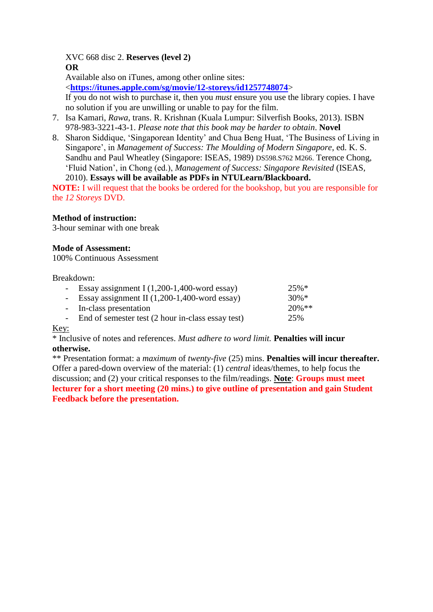XVC 668 disc 2. **Reserves (level 2) OR**

Available also on iTunes, among other online sites:

<**<https://itunes.apple.com/sg/movie/12-storeys/id1257748074>**>

If you do not wish to purchase it, then you *must* ensure you use the library copies. I have no solution if you are unwilling or unable to pay for the film.

- 7. Isa Kamari, *Rawa*, trans. R. Krishnan (Kuala Lumpur: Silverfish Books, 2013). ISBN 978-983-3221-43-1. *Please note that this book may be harder to obtain*. **Novel**
- 8. Sharon Siddique, 'Singaporean Identity' and Chua Beng Huat, 'The Business of Living in Singapore', in *Management of Success: The Moulding of Modern Singapore*, ed. K. S. Sandhu and Paul Wheatley (Singapore: ISEAS, 1989) DS598.S762 M266. Terence Chong, 'Fluid Nation', in Chong (ed.), *Management of Success: Singapore Revisited* (ISEAS, 2010). **Essays will be available as PDFs in NTULearn/Blackboard.**

**NOTE:** I will request that the books be ordered for the bookshop, but you are responsible for the *12 Storeys* DVD.

## **Method of instruction:**

3-hour seminar with one break

### **Mode of Assessment:**

100% Continuous Assessment

#### Breakdown:

| - Essay assignment I $(1,200-1,400$ -word essay)    | $25\%*$   |
|-----------------------------------------------------|-----------|
| - Essay assignment II $(1,200-1,400$ -word essay)   | $30\%*$   |
| - In-class presentation                             | $20\%$ ** |
| - End of semester test (2 hour in-class essay test) | 25%       |
|                                                     |           |

## Key:

\* Inclusive of notes and references. *Must adhere to word limit.* **Penalties will incur otherwise.**

\*\* Presentation format: a *maximum* of *twenty*-*five* (25) mins. **Penalties will incur thereafter.** Offer a pared-down overview of the material: (1) *central* ideas/themes, to help focus the discussion; and (2) your critical responses to the film/readings. **Note**: **Groups must meet lecturer for a short meeting (20 mins.) to give outline of presentation and gain Student Feedback before the presentation.**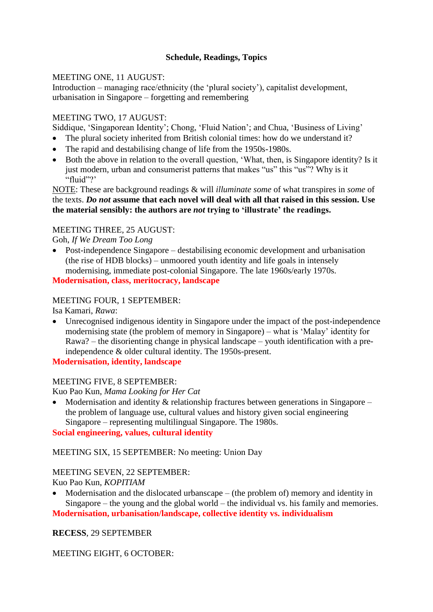# **Schedule, Readings, Topics**

## MEETING ONE, 11 AUGUST:

Introduction – managing race/ethnicity (the 'plural society'), capitalist development, urbanisation in Singapore – forgetting and remembering

## MEETING TWO, 17 AUGUST:

Siddique, 'Singaporean Identity'; Chong, 'Fluid Nation'; and Chua, 'Business of Living'

- The plural society inherited from British colonial times: how do we understand it?
- The rapid and destabilising change of life from the 1950s-1980s.
- Both the above in relation to the overall question, 'What, then, is Singapore identity? Is it just modern, urban and consumerist patterns that makes "us" this "us"? Why is it "fluid"?'

NOTE: These are background readings & will *illuminate some* of what transpires in *some* of the texts. *Do not* **assume that each novel will deal with all that raised in this session. Use the material sensibly: the authors are** *not* **trying to 'illustrate' the readings.**

## MEETING THREE, 25 AUGUST:

Goh, *If We Dream Too Long*

 Post-independence Singapore – destabilising economic development and urbanisation (the rise of HDB blocks) – unmoored youth identity and life goals in intensely modernising, immediate post-colonial Singapore. The late 1960s/early 1970s. **Modernisation, class, meritocracy, landscape**

## MEETING FOUR, 1 SEPTEMBER:

Isa Kamari, *Rawa*:

 Unrecognised indigenous identity in Singapore under the impact of the post-independence modernising state (the problem of memory in Singapore) – what is 'Malay' identity for Rawa? – the disorienting change in physical landscape – youth identification with a preindependence & older cultural identity. The 1950s-present.

**Modernisation, identity, landscape**

### MEETING FIVE, 8 SEPTEMBER:

Kuo Pao Kun, *Mama Looking for Her Cat*

• Modernisation and identity  $\&$  relationship fractures between generations in Singapore – the problem of language use, cultural values and history given social engineering Singapore – representing multilingual Singapore. The 1980s.

### **Social engineering, values, cultural identity**

### MEETING SIX, 15 SEPTEMBER: No meeting: Union Day

MEETING SEVEN, 22 SEPTEMBER: Kuo Pao Kun, *KOPITIAM*

 Modernisation and the dislocated urbanscape – (the problem of) memory and identity in Singapore – the young and the global world – the individual vs. his family and memories.

**Modernisation, urbanisation/landscape, collective identity vs. individualism**

### **RECESS**, 29 SEPTEMBER

## MEETING EIGHT, 6 OCTOBER: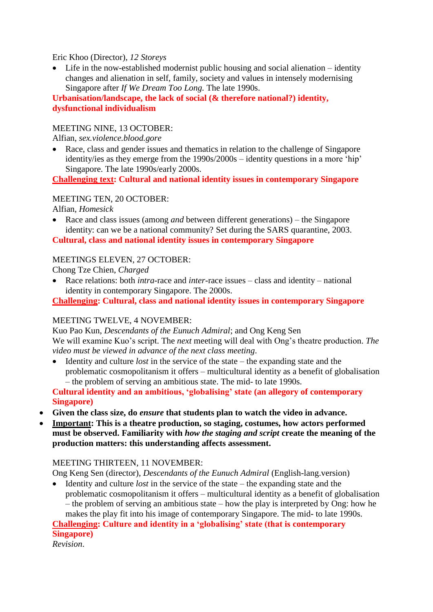Eric Khoo (Director), *12 Storeys*

 Life in the now-established modernist public housing and social alienation – identity changes and alienation in self, family, society and values in intensely modernising Singapore after *If We Dream Too Long.* The late 1990s.

**Urbanisation/landscape, the lack of social (& therefore national?) identity, dysfunctional individualism**

## MEETING NINE, 13 OCTOBER:

Alfian, *sex.violence.blood.gore*

• Race, class and gender issues and thematics in relation to the challenge of Singapore identity/ies as they emerge from the 1990s/2000s – identity questions in a more 'hip' Singapore. The late 1990s/early 2000s.

**Challenging text: Cultural and national identity issues in contemporary Singapore**

#### MEETING TEN, 20 OCTOBER:

Alfian, *Homesick*

 Race and class issues (among *and* between different generations) – the Singapore identity: can we be a national community? Set during the SARS quarantine, 2003.

**Cultural, class and national identity issues in contemporary Singapore**

### MEETINGS ELEVEN, 27 OCTOBER:

Chong Tze Chien, *Charged*

 Race relations: both *intra*-race and *inter*-race issues – class and identity – national identity in contemporary Singapore. The 2000s.

**Challenging: Cultural, class and national identity issues in contemporary Singapore**

### MEETING TWELVE, 4 NOVEMBER:

Kuo Pao Kun, *Descendants of the Eunuch Admiral*; and Ong Keng Sen We will examine Kuo's script. The *next* meeting will deal with Ong's theatre production. *The video must be viewed in advance of the next class meeting*.

 Identity and culture *lost* in the service of the state – the expanding state and the problematic cosmopolitanism it offers – multicultural identity as a benefit of globalisation – the problem of serving an ambitious state. The mid- to late 1990s.

**Cultural identity and an ambitious, 'globalising' state (an allegory of contemporary Singapore)**

- **Given the class size, do** *ensure* **that students plan to watch the video in advance.**
- **Important: This is a theatre production, so staging, costumes, how actors performed must be observed. Familiarity with** *how the staging and script* **create the meaning of the production matters: this understanding affects assessment.**

### MEETING THIRTEEN, 11 NOVEMBER:

Ong Keng Sen (director), *Descendants of the Eunuch Admiral* (English-lang.version)

 Identity and culture *lost* in the service of the state – the expanding state and the problematic cosmopolitanism it offers – multicultural identity as a benefit of globalisation – the problem of serving an ambitious state – how the play is interpreted by Ong: how he makes the play fit into his image of contemporary Singapore. The mid- to late 1990s.

**Challenging: Culture and identity in a 'globalising' state (that is contemporary Singapore)**

*Revision*.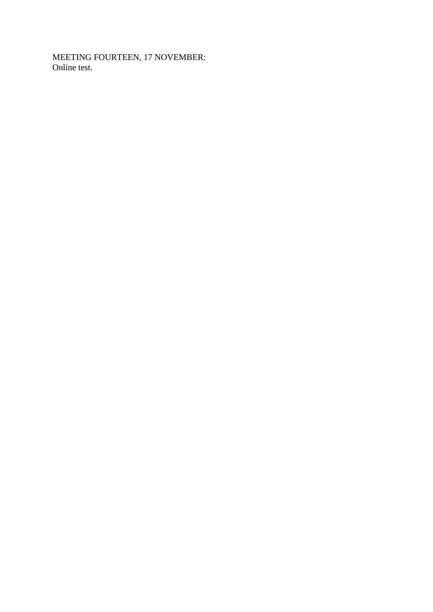MEETING FOURTEEN, 17 NOVEMBER: Online test.